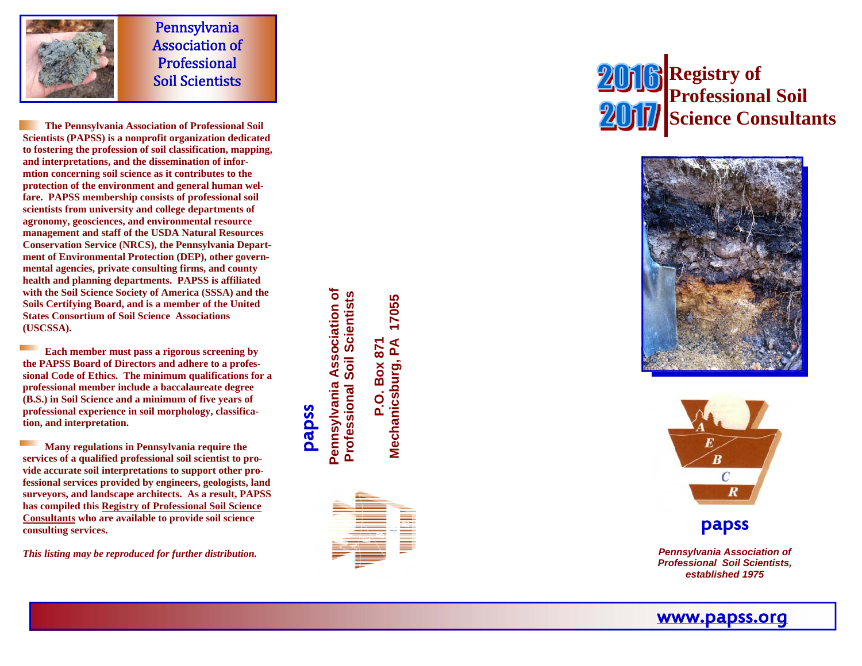

Pennsylvania **Association of** Professional Soil Scientists 

 **The Pennsylvania Association of Professional Soil Scientists (PAPSS) is a nonprofit organization dedicated to fostering the profession of soil classification, mapping, and interpretations, and the dissemination of informtion concerning soil science as it contributes to the protection of the environment and general human welfare. PAPSS membership consists of professional soil scientists from university and college departments of agronomy, geosciences, and environmental resource management and staff of the USDA Natural Resources Conservation Service (NRCS), the Pennsylvania Department of Environmental Protection (DEP), other governmental agencies, private consulting firms, and county health and planning departments. PAPSS is affiliated with the Soil Science Society of America (SSSA) and the Soils Certifying Board, and is a member of the United States Consortium of Soil Science Associations (USCSSA).** 

 **Each member must pass a rigorous screening by the PAPSS Board of Directors and adhere to a professional Code of Ethics. The minimum qualifications for a professional member include a baccalaureate degree (B.S.) in Soil Science and a minimum of five years of professional experience in soil morphology, classification, and interpretation.** 

 **Many regulations in Pennsylvania require the services of a qualified professional soil scientist to provide accurate soil interpretations to support other professional services provided by engineers, geologists, land surveyors, and landscape architects. As a result, PAPSS has compiled this Registry of Professional Soil Science Consultants who are available to provide soil science consulting services.** 

*This listing may be reproduced for further distribution.* 

**Pennsylvania Association of Professional Soil Scientists**  Pennsylvania Association of **Professional Soil Scientists** 

papss

**Mechanicsburg, PA 17055 P.O. Box 871**  Mechanicsburg, PA  $\overline{a}$ 

17055

78

Box









*Pennsylvania Association of Professional Soil Scientists, established 1975*